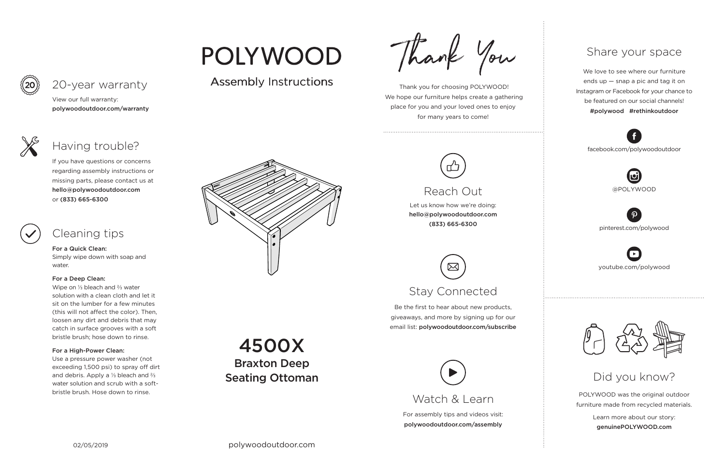02/05/2019 polywoodoutdoor.com

For assembly tips and videos visit: polywoodoutdoor.com/assembly

 Thank you for choosing POLYWOOD! We hope our furniture helps create a gathering place for you and your loved ones to enjoy for many years to come!



Let us know how we're doing: hello@polywoodoutdoor.com (833) 665-6300

Be the first to hear about new products, giveaways, and more by signing up for our email list: polywoodoutdoor.com/subscribe

> POLYWOOD was the original outdoor furniture made from recycled materials.

> > Learn more about our story: genuinePOLYWOOD.com

We love to see where our furniture ends up — snap a pic and tag it on Instagram or Facebook for your chance to be featured on our social channels! #polywood #rethinkoutdoor



youtube.com/polywood



pinterest.com/polywood



facebook.com/polywoodoutdoor







## Reach Out

## Stay Connected

### Share your space

## Did you know?

View our full warranty:

polywoodoutdoor.com/warranty

For a Quick Clean: Simply wipe down with soap and water.

#### For a Deep Clean:

Wipe on ⅓ bleach and ⅔ water solution with a clean cloth and let it sit on the lumber for a few minutes (this will not affect the color). Then, loosen any dirt and debris that may catch in surface grooves with a soft bristle brush; hose down to rinse.

# POLYWOOD

## Assembly Instructions Assembly Instructions

Thank You

### For a High-Power Clean:

Use a pressure power washer (not exceeding 1,500 psi) to spray off dirt and debris. Apply a ⅓ bleach and ⅔ water solution and scrub with a softbristle brush. Hose down to rinse.



If you have questions or concerns regarding assembly instructions or missing parts, please contact us at hello@polywoodoutdoor.com or (833) 665-6300

20-year warranty

## Having trouble?

## Cleaning tips

4500X Braxton Deep Seating Ottoman